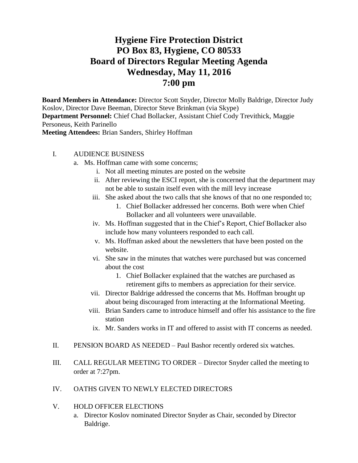## **Hygiene Fire Protection District PO Box 83, Hygiene, CO 80533 Board of Directors Regular Meeting Agenda Wednesday, May 11, 2016 7:00 pm**

**Board Members in Attendance:** Director Scott Snyder, Director Molly Baldrige, Director Judy Koslov, Director Dave Beeman, Director Steve Brinkman (via Skype) **Department Personnel:** Chief Chad Bollacker, Assistant Chief Cody Trevithick, Maggie Personeus, Keith Parinello **Meeting Attendees:** Brian Sanders, Shirley Hoffman

## I. AUDIENCE BUSINESS

- a. Ms. Hoffman came with some concerns;
	- i. Not all meeting minutes are posted on the website
	- ii. After reviewing the ESCI report, she is concerned that the department may not be able to sustain itself even with the mill levy increase
	- iii. She asked about the two calls that she knows of that no one responded to;
		- 1. Chief Bollacker addressed her concerns. Both were when Chief Bollacker and all volunteers were unavailable.
	- iv. Ms. Hoffman suggested that in the Chief's Report, Chief Bollacker also include how many volunteers responded to each call.
	- v. Ms. Hoffman asked about the newsletters that have been posted on the website.
	- vi. She saw in the minutes that watches were purchased but was concerned about the cost
		- 1. Chief Bollacker explained that the watches are purchased as retirement gifts to members as appreciation for their service.
	- vii. Director Baldrige addressed the concerns that Ms. Hoffman brought up about being discouraged from interacting at the Informational Meeting.
	- viii. Brian Sanders came to introduce himself and offer his assistance to the fire station
	- ix. Mr. Sanders works in IT and offered to assist with IT concerns as needed.
- II. PENSION BOARD AS NEEDED Paul Bashor recently ordered six watches.
- III. CALL REGULAR MEETING TO ORDER Director Snyder called the meeting to order at 7:27pm.
- IV. OATHS GIVEN TO NEWLY ELECTED DIRECTORS
- V. HOLD OFFICER ELECTIONS
	- a. Director Koslov nominated Director Snyder as Chair, seconded by Director Baldrige.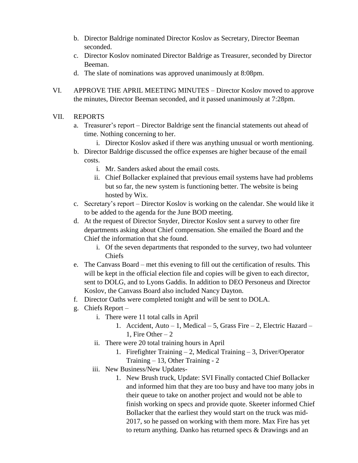- b. Director Baldrige nominated Director Koslov as Secretary, Director Beeman seconded.
- c. Director Koslov nominated Director Baldrige as Treasurer, seconded by Director Beeman.
- d. The slate of nominations was approved unanimously at 8:08pm.
- VI. APPROVE THE APRIL MEETING MINUTES Director Koslov moved to approve the minutes, Director Beeman seconded, and it passed unanimously at 7:28pm.

## VII. REPORTS

- a. Treasurer's report Director Baldrige sent the financial statements out ahead of time. Nothing concerning to her.
	- i. Director Koslov asked if there was anything unusual or worth mentioning.
- b. Director Baldrige discussed the office expenses are higher because of the email costs.
	- i. Mr. Sanders asked about the email costs.
	- ii. Chief Bollacker explained that previous email systems have had problems but so far, the new system is functioning better. The website is being hosted by Wix.
- c. Secretary's report Director Koslov is working on the calendar. She would like it to be added to the agenda for the June BOD meeting.
- d. At the request of Director Snyder, Director Koslov sent a survey to other fire departments asking about Chief compensation. She emailed the Board and the Chief the information that she found.
	- i. Of the seven departments that responded to the survey, two had volunteer Chiefs
- e. The Canvass Board met this evening to fill out the certification of results. This will be kept in the official election file and copies will be given to each director, sent to DOLG, and to Lyons Gaddis. In addition to DEO Personeus and Director Koslov, the Canvass Board also included Nancy Dayton.
- f. Director Oaths were completed tonight and will be sent to DOLA.
- g. Chiefs Report
	- i. There were 11 total calls in April
		- 1. Accident, Auto 1, Medical 5, Grass Fire 2, Electric Hazard 1. Fire Other  $-2$
	- ii. There were 20 total training hours in April
		- 1. Firefighter Training 2, Medical Training 3, Driver/Operator Training – 13, Other Training - 2
	- iii. New Business/New Updates-
		- 1. New Brush truck, Update: SVI Finally contacted Chief Bollacker and informed him that they are too busy and have too many jobs in their queue to take on another project and would not be able to finish working on specs and provide quote. Skeeter informed Chief Bollacker that the earliest they would start on the truck was mid-2017, so he passed on working with them more. Max Fire has yet to return anything. Danko has returned specs & Drawings and an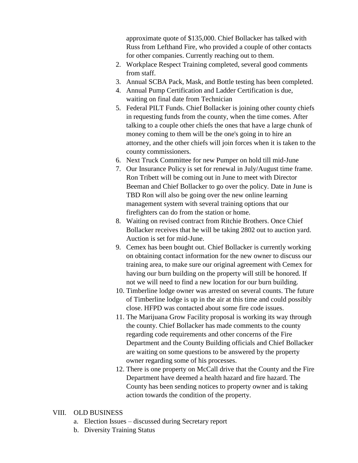approximate quote of \$135,000. Chief Bollacker has talked with Russ from Lefthand Fire, who provided a couple of other contacts for other companies. Currently reaching out to them.

- 2. Workplace Respect Training completed, several good comments from staff.
- 3. Annual SCBA Pack, Mask, and Bottle testing has been completed.
- 4. Annual Pump Certification and Ladder Certification is due, waiting on final date from Technician
- 5. Federal PILT Funds. Chief Bollacker is joining other county chiefs in requesting funds from the county, when the time comes. After talking to a couple other chiefs the ones that have a large chunk of money coming to them will be the one's going in to hire an attorney, and the other chiefs will join forces when it is taken to the county commissioners.
- 6. Next Truck Committee for new Pumper on hold till mid-June
- 7. Our Insurance Policy is set for renewal in July/August time frame. Ron Tribett will be coming out in June to meet with Director Beeman and Chief Bollacker to go over the policy. Date in June is TBD Ron will also be going over the new online learning management system with several training options that our firefighters can do from the station or home.
- 8. Waiting on revised contract from Ritchie Brothers. Once Chief Bollacker receives that he will be taking 2802 out to auction yard. Auction is set for mid-June.
- 9. Cemex has been bought out. Chief Bollacker is currently working on obtaining contact information for the new owner to discuss our training area, to make sure our original agreement with Cemex for having our burn building on the property will still be honored. If not we will need to find a new location for our burn building.
- 10. Timberline lodge owner was arrested on several counts. The future of Timberline lodge is up in the air at this time and could possibly close. HFPD was contacted about some fire code issues.
- 11. The Marijuana Grow Facility proposal is working its way through the county. Chief Bollacker has made comments to the county regarding code requirements and other concerns of the Fire Department and the County Building officials and Chief Bollacker are waiting on some questions to be answered by the property owner regarding some of his processes.
- 12. There is one property on McCall drive that the County and the Fire Department have deemed a health hazard and fire hazard. The County has been sending notices to property owner and is taking action towards the condition of the property.

## VIII. OLD BUSINESS

- a. Election Issues discussed during Secretary report
- b. Diversity Training Status